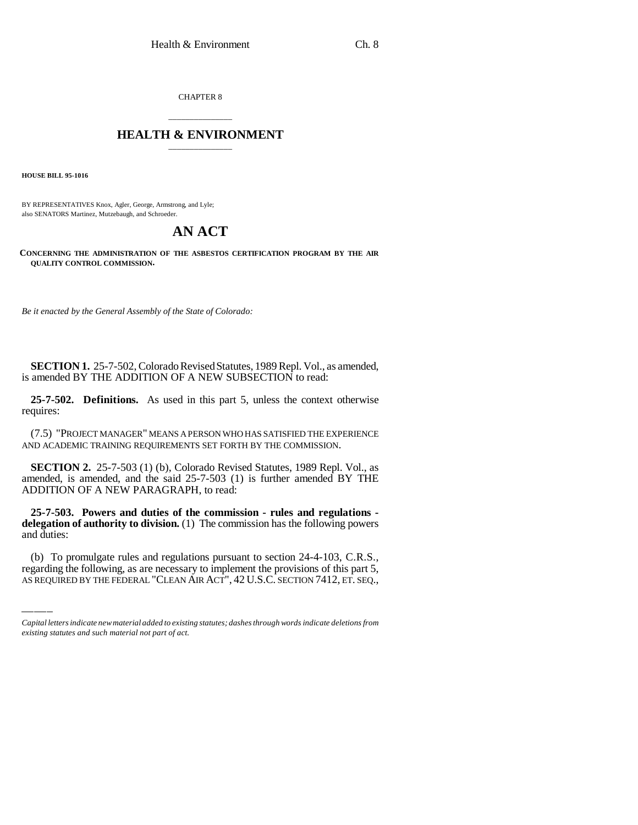CHAPTER 8

## \_\_\_\_\_\_\_\_\_\_\_\_\_\_\_ **HEALTH & ENVIRONMENT** \_\_\_\_\_\_\_\_\_\_\_\_\_\_\_

**HOUSE BILL 95-1016**

BY REPRESENTATIVES Knox, Agler, George, Armstrong, and Lyle; also SENATORS Martinez, Mutzebaugh, and Schroeder.

## **AN ACT**

**CONCERNING THE ADMINISTRATION OF THE ASBESTOS CERTIFICATION PROGRAM BY THE AIR QUALITY CONTROL COMMISSION.**

*Be it enacted by the General Assembly of the State of Colorado:*

**SECTION 1.** 25-7-502, Colorado Revised Statutes, 1989 Repl. Vol., as amended, is amended BY THE ADDITION OF A NEW SUBSECTION to read:

**25-7-502. Definitions.** As used in this part 5, unless the context otherwise requires:

(7.5) "PROJECT MANAGER" MEANS A PERSON WHO HAS SATISFIED THE EXPERIENCE AND ACADEMIC TRAINING REQUIREMENTS SET FORTH BY THE COMMISSION.

**SECTION 2.** 25-7-503 (1) (b), Colorado Revised Statutes, 1989 Repl. Vol., as amended, is amended, and the said 25-7-503 (1) is further amended BY THE ADDITION OF A NEW PARAGRAPH, to read:

and duties: **25-7-503. Powers and duties of the commission - rules and regulations delegation of authority to division.** (1) The commission has the following powers

(b) To promulgate rules and regulations pursuant to section 24-4-103, C.R.S., regarding the following, as are necessary to implement the provisions of this part 5, AS REQUIRED BY THE FEDERAL "CLEAN AIR ACT", 42 U.S.C. SECTION 7412, ET. SEQ.,

*Capital letters indicate new material added to existing statutes; dashes through words indicate deletions from existing statutes and such material not part of act.*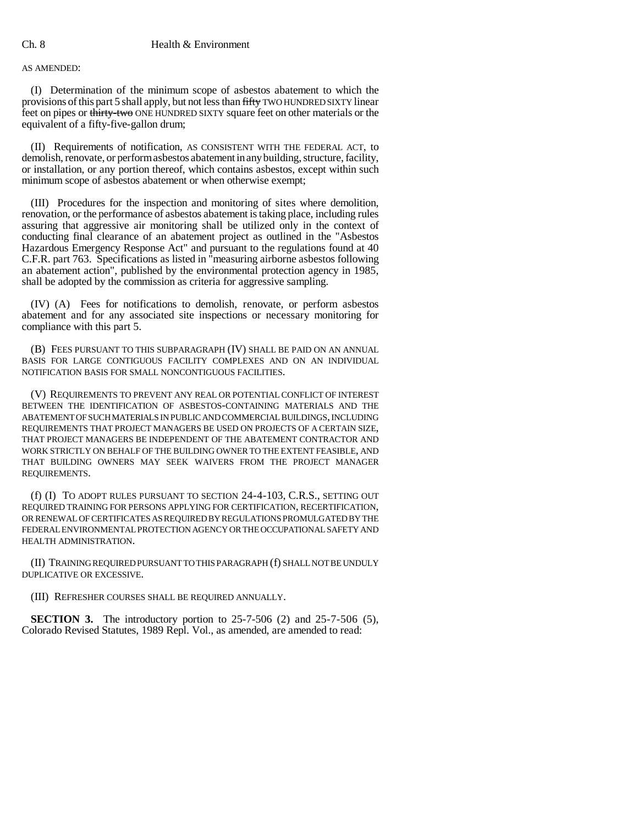AS AMENDED:

(I) Determination of the minimum scope of asbestos abatement to which the provisions of this part 5 shall apply, but not less than fifty TWO HUNDRED SIXTY linear feet on pipes or thirty-two ONE HUNDRED SIXTY square feet on other materials or the equivalent of a fifty-five-gallon drum;

(II) Requirements of notification, AS CONSISTENT WITH THE FEDERAL ACT, to demolish, renovate, or perform asbestos abatement in any building, structure, facility, or installation, or any portion thereof, which contains asbestos, except within such minimum scope of asbestos abatement or when otherwise exempt;

(III) Procedures for the inspection and monitoring of sites where demolition, renovation, or the performance of asbestos abatement is taking place, including rules assuring that aggressive air monitoring shall be utilized only in the context of conducting final clearance of an abatement project as outlined in the "Asbestos Hazardous Emergency Response Act" and pursuant to the regulations found at 40 C.F.R. part 763. Specifications as listed in "measuring airborne asbestos following an abatement action", published by the environmental protection agency in 1985, shall be adopted by the commission as criteria for aggressive sampling.

(IV) (A) Fees for notifications to demolish, renovate, or perform asbestos abatement and for any associated site inspections or necessary monitoring for compliance with this part 5.

(B) FEES PURSUANT TO THIS SUBPARAGRAPH (IV) SHALL BE PAID ON AN ANNUAL BASIS FOR LARGE CONTIGUOUS FACILITY COMPLEXES AND ON AN INDIVIDUAL NOTIFICATION BASIS FOR SMALL NONCONTIGUOUS FACILITIES.

(V) REQUIREMENTS TO PREVENT ANY REAL OR POTENTIAL CONFLICT OF INTEREST BETWEEN THE IDENTIFICATION OF ASBESTOS-CONTAINING MATERIALS AND THE ABATEMENT OF SUCH MATERIALS IN PUBLIC AND COMMERCIAL BUILDINGS, INCLUDING REQUIREMENTS THAT PROJECT MANAGERS BE USED ON PROJECTS OF A CERTAIN SIZE, THAT PROJECT MANAGERS BE INDEPENDENT OF THE ABATEMENT CONTRACTOR AND WORK STRICTLY ON BEHALF OF THE BUILDING OWNER TO THE EXTENT FEASIBLE, AND THAT BUILDING OWNERS MAY SEEK WAIVERS FROM THE PROJECT MANAGER REQUIREMENTS.

(f) (I) TO ADOPT RULES PURSUANT TO SECTION 24-4-103, C.R.S., SETTING OUT REQUIRED TRAINING FOR PERSONS APPLYING FOR CERTIFICATION, RECERTIFICATION, OR RENEWAL OF CERTIFICATES AS REQUIRED BY REGULATIONS PROMULGATED BY THE FEDERAL ENVIRONMENTAL PROTECTION AGENCY OR THE OCCUPATIONAL SAFETY AND HEALTH ADMINISTRATION.

(II) TRAINING REQUIRED PURSUANT TO THIS PARAGRAPH (f) SHALL NOT BE UNDULY DUPLICATIVE OR EXCESSIVE.

(III) REFRESHER COURSES SHALL BE REQUIRED ANNUALLY.

**SECTION 3.** The introductory portion to 25-7-506 (2) and 25-7-506 (5), Colorado Revised Statutes, 1989 Repl. Vol., as amended, are amended to read: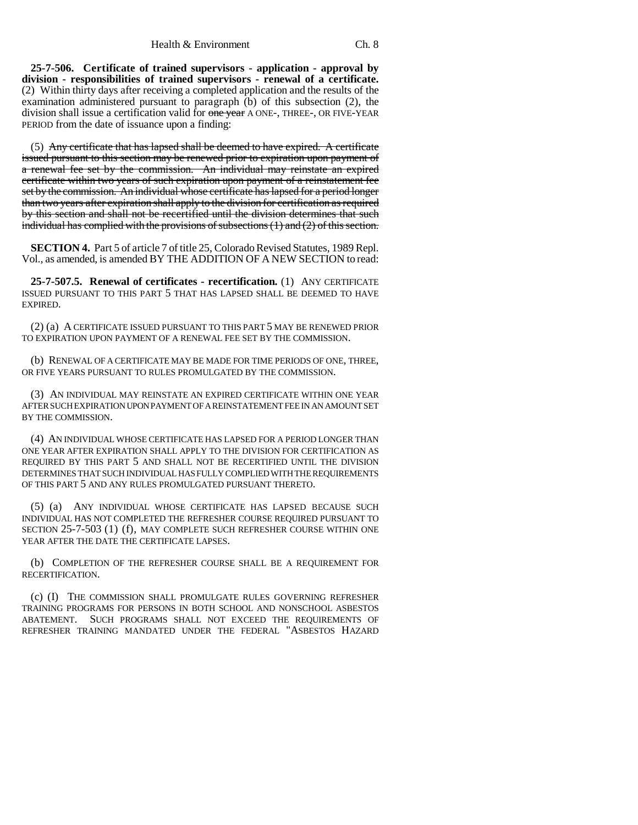**25-7-506. Certificate of trained supervisors - application - approval by division - responsibilities of trained supervisors - renewal of a certificate.** (2) Within thirty days after receiving a completed application and the results of the examination administered pursuant to paragraph  $(b)$  of this subsection (2), the division shall issue a certification valid for one year A ONE-, THREE-, OR FIVE-YEAR PERIOD from the date of issuance upon a finding:

(5) Any certificate that has lapsed shall be deemed to have expired. A certificate issued pursuant to this section may be renewed prior to expiration upon payment of a renewal fee set by the commission. An individual may reinstate an expired certificate within two years of such expiration upon payment of a reinstatement fee set by the commission. An individual whose certificate has lapsed for a period longer than two years after expiration shall apply to the division for certification as required by this section and shall not be recertified until the division determines that such individual has complied with the provisions of subsections (1) and (2) of this section.

**SECTION 4.** Part 5 of article 7 of title 25, Colorado Revised Statutes, 1989 Repl. Vol., as amended, is amended BY THE ADDITION OF A NEW SECTION to read:

**25-7-507.5. Renewal of certificates - recertification.** (1) ANY CERTIFICATE ISSUED PURSUANT TO THIS PART 5 THAT HAS LAPSED SHALL BE DEEMED TO HAVE EXPIRED.

(2) (a) A CERTIFICATE ISSUED PURSUANT TO THIS PART 5 MAY BE RENEWED PRIOR TO EXPIRATION UPON PAYMENT OF A RENEWAL FEE SET BY THE COMMISSION.

(b) RENEWAL OF A CERTIFICATE MAY BE MADE FOR TIME PERIODS OF ONE, THREE, OR FIVE YEARS PURSUANT TO RULES PROMULGATED BY THE COMMISSION.

(3) AN INDIVIDUAL MAY REINSTATE AN EXPIRED CERTIFICATE WITHIN ONE YEAR AFTER SUCH EXPIRATION UPON PAYMENT OF A REINSTATEMENT FEE IN AN AMOUNT SET BY THE COMMISSION.

(4) AN INDIVIDUAL WHOSE CERTIFICATE HAS LAPSED FOR A PERIOD LONGER THAN ONE YEAR AFTER EXPIRATION SHALL APPLY TO THE DIVISION FOR CERTIFICATION AS REQUIRED BY THIS PART 5 AND SHALL NOT BE RECERTIFIED UNTIL THE DIVISION DETERMINES THAT SUCH INDIVIDUAL HAS FULLY COMPLIED WITH THE REQUIREMENTS OF THIS PART 5 AND ANY RULES PROMULGATED PURSUANT THERETO.

(5) (a) ANY INDIVIDUAL WHOSE CERTIFICATE HAS LAPSED BECAUSE SUCH INDIVIDUAL HAS NOT COMPLETED THE REFRESHER COURSE REQUIRED PURSUANT TO SECTION 25-7-503 (1) (f), MAY COMPLETE SUCH REFRESHER COURSE WITHIN ONE YEAR AFTER THE DATE THE CERTIFICATE LAPSES.

(b) COMPLETION OF THE REFRESHER COURSE SHALL BE A REQUIREMENT FOR RECERTIFICATION.

(c) (I) THE COMMISSION SHALL PROMULGATE RULES GOVERNING REFRESHER TRAINING PROGRAMS FOR PERSONS IN BOTH SCHOOL AND NONSCHOOL ASBESTOS ABATEMENT. SUCH PROGRAMS SHALL NOT EXCEED THE REQUIREMENTS OF REFRESHER TRAINING MANDATED UNDER THE FEDERAL "ASBESTOS HAZARD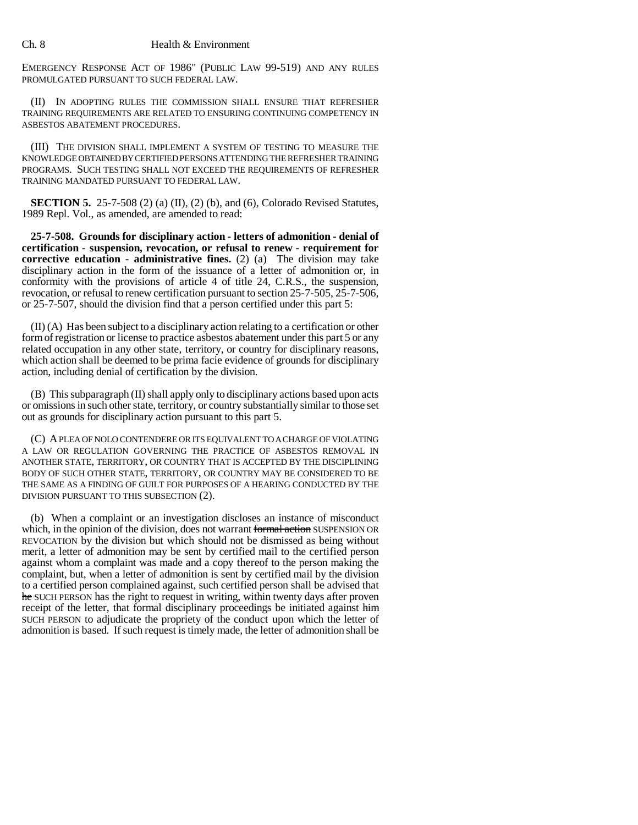EMERGENCY RESPONSE ACT OF 1986" (PUBLIC LAW 99-519) AND ANY RULES PROMULGATED PURSUANT TO SUCH FEDERAL LAW.

(II) IN ADOPTING RULES THE COMMISSION SHALL ENSURE THAT REFRESHER TRAINING REQUIREMENTS ARE RELATED TO ENSURING CONTINUING COMPETENCY IN ASBESTOS ABATEMENT PROCEDURES.

(III) THE DIVISION SHALL IMPLEMENT A SYSTEM OF TESTING TO MEASURE THE KNOWLEDGE OBTAINED BY CERTIFIED PERSONS ATTENDING THE REFRESHER TRAINING PROGRAMS. SUCH TESTING SHALL NOT EXCEED THE REQUIREMENTS OF REFRESHER TRAINING MANDATED PURSUANT TO FEDERAL LAW.

**SECTION 5.** 25-7-508 (2) (a) (II), (2) (b), and (6), Colorado Revised Statutes, 1989 Repl. Vol., as amended, are amended to read:

**25-7-508. Grounds for disciplinary action - letters of admonition - denial of certification - suspension, revocation, or refusal to renew - requirement for corrective education - administrative fines.** (2) (a) The division may take disciplinary action in the form of the issuance of a letter of admonition or, in conformity with the provisions of article 4 of title 24, C.R.S., the suspension, revocation, or refusal to renew certification pursuant to section 25-7-505, 25-7-506, or 25-7-507, should the division find that a person certified under this part 5:

(II) (A) Has been subject to a disciplinary action relating to a certification or other form of registration or license to practice asbestos abatement under this part 5 or any related occupation in any other state, territory, or country for disciplinary reasons, which action shall be deemed to be prima facie evidence of grounds for disciplinary action, including denial of certification by the division.

(B) This subparagraph (II) shall apply only to disciplinary actions based upon acts or omissions in such other state, territory, or country substantially similar to those set out as grounds for disciplinary action pursuant to this part 5.

(C) A PLEA OF NOLO CONTENDERE OR ITS EQUIVALENT TO A CHARGE OF VIOLATING A LAW OR REGULATION GOVERNING THE PRACTICE OF ASBESTOS REMOVAL IN ANOTHER STATE, TERRITORY, OR COUNTRY THAT IS ACCEPTED BY THE DISCIPLINING BODY OF SUCH OTHER STATE, TERRITORY, OR COUNTRY MAY BE CONSIDERED TO BE THE SAME AS A FINDING OF GUILT FOR PURPOSES OF A HEARING CONDUCTED BY THE DIVISION PURSUANT TO THIS SUBSECTION (2).

(b) When a complaint or an investigation discloses an instance of misconduct which, in the opinion of the division, does not warrant formal action SUSPENSION OR REVOCATION by the division but which should not be dismissed as being without merit, a letter of admonition may be sent by certified mail to the certified person against whom a complaint was made and a copy thereof to the person making the complaint, but, when a letter of admonition is sent by certified mail by the division to a certified person complained against, such certified person shall be advised that he SUCH PERSON has the right to request in writing, within twenty days after proven receipt of the letter, that formal disciplinary proceedings be initiated against him SUCH PERSON to adjudicate the propriety of the conduct upon which the letter of admonition is based. If such request is timely made, the letter of admonition shall be